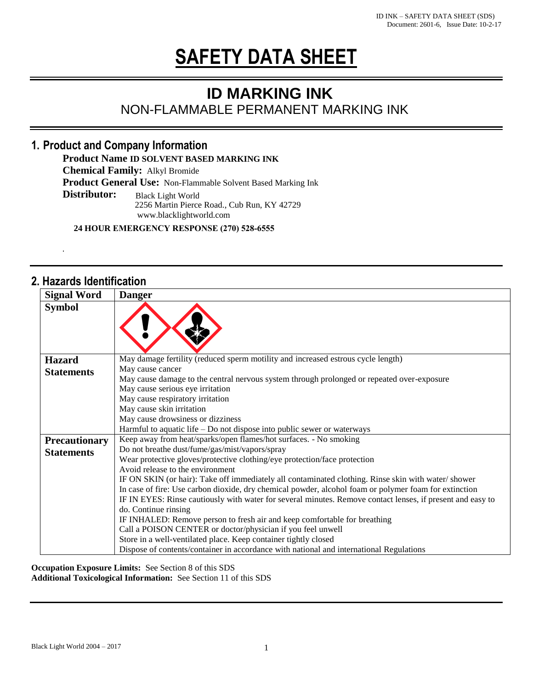# **SAFETY DATA SHEET**

**ID MARKING INK**<br> **NON-FLAMMABLE PERMANENT MARKING INK** 

# **1. Product and Company Information**

**Product Name ID SOLVENT BASED MARKING INK**

**Chemical Family:** Alkyl Bromide

**Product General Use:** Non-Flammable Solvent Based Marking Ink

**Distributor:** Black Light World Black Light World

2256 Martin Pierce Road., Cub Run, KY 42729 www.blacklightworld.com

**24 HOUR EMERGENCY RESPONSE (270) 528-6555** 

# **2. Hazards Identification**

**-**

| <b>Signal Word</b>   | <b>Danger</b>                                                                                              |
|----------------------|------------------------------------------------------------------------------------------------------------|
| <b>Symbol</b>        |                                                                                                            |
| <b>Hazard</b>        | May damage fertility (reduced sperm motility and increased estrous cycle length)                           |
| <b>Statements</b>    | May cause cancer                                                                                           |
|                      | May cause damage to the central nervous system through prolonged or repeated over-exposure                 |
|                      | May cause serious eye irritation                                                                           |
|                      | May cause respiratory irritation                                                                           |
|                      | May cause skin irritation                                                                                  |
|                      | May cause drowsiness or dizziness                                                                          |
|                      | Harmful to aquatic life $-$ Do not dispose into public sewer or waterways                                  |
| <b>Precautionary</b> | Keep away from heat/sparks/open flames/hot surfaces. - No smoking                                          |
| <b>Statements</b>    | Do not breathe dust/fume/gas/mist/vapors/spray                                                             |
|                      | Wear protective gloves/protective clothing/eye protection/face protection                                  |
|                      | Avoid release to the environment                                                                           |
|                      | IF ON SKIN (or hair): Take off immediately all contaminated clothing. Rinse skin with water/shower         |
|                      | In case of fire: Use carbon dioxide, dry chemical powder, alcohol foam or polymer foam for extinction      |
|                      | IF IN EYES: Rinse cautiously with water for several minutes. Remove contact lenses, if present and easy to |
|                      | do. Continue rinsing                                                                                       |
|                      | IF INHALED: Remove person to fresh air and keep comfortable for breathing                                  |
|                      | Call a POISON CENTER or doctor/physician if you feel unwell                                                |
|                      | Store in a well-ventilated place. Keep container tightly closed                                            |
|                      | Dispose of contents/container in accordance with national and international Regulations                    |

**Occupation Exposure Limits:** See Section 8 of this SDS **Additional Toxicological Information:** See Section 11 of this SDS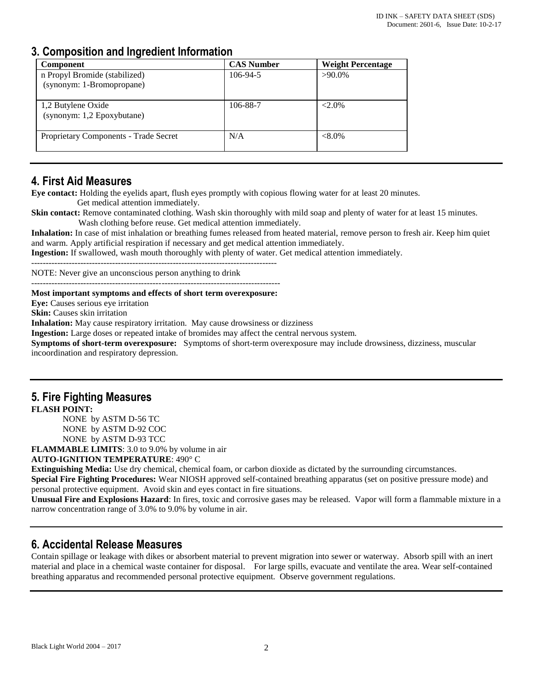# **3. Composition and Ingredient Information**

| <b>Component</b>                                           | <b>CAS Number</b> | <b>Weight Percentage</b> |
|------------------------------------------------------------|-------------------|--------------------------|
| n Propyl Bromide (stabilized)<br>(synonym: 1-Bromopropane) | 106-94-5          | $>90.0\%$                |
| 1,2 Butylene Oxide<br>(synonym: 1,2 Epoxybutane)           | 106-88-7          | $<2.0\%$                 |
| Proprietary Components - Trade Secret                      | N/A               | $<8.0\%$                 |

# **4. First Aid Measures**

**Eye contact:** Holding the eyelids apart, flush eyes promptly with copious flowing water for at least 20 minutes. Get medical attention immediately.

**Skin contact:** Remove contaminated clothing. Wash skin thoroughly with mild soap and plenty of water for at least 15 minutes. Wash clothing before reuse. Get medical attention immediately.

**Inhalation:** In case of mist inhalation or breathing fumes released from heated material, remove person to fresh air. Keep him quiet and warm. Apply artificial respiration if necessary and get medical attention immediately.

**Ingestion:** If swallowed, wash mouth thoroughly with plenty of water. Get medical attention immediately.

-------------------------------------------------------------------------------------

NOTE: Never give an unconscious person anything to drink

--------------------------------------------------------------------------------------

#### **Most important symptoms and effects of short term overexposure:**

**Eve:** Causes serious eve irritation

**Skin:** Causes skin irritation

**Inhalation:** May cause respiratory irritation. May cause drowsiness or dizziness

**Ingestion:** Large doses or repeated intake of bromides may affect the central nervous system.

**Symptoms of short-term overexposure:** Symptoms of short-term overexposure may include drowsiness, dizziness, muscular incoordination and respiratory depression.

# **5. Fire Fighting Measures**

**FLASH POINT:**

NONE by ASTM D-56 TC NONE by ASTM D-92 COC NONE by ASTM D-93 TCC **FLAMMABLE LIMITS**: 3.0 to 9.0% by volume in air

**AUTO-IGNITION TEMPERATURE**: 490° C

**Extinguishing Media:** Use dry chemical, chemical foam, or carbon dioxide as dictated by the surrounding circumstances. **Special Fire Fighting Procedures:** Wear NIOSH approved self-contained breathing apparatus (set on positive pressure mode) and

personal protective equipment. Avoid skin and eyes contact in fire situations.

**Unusual Fire and Explosions Hazard**: In fires, toxic and corrosive gases may be released. Vapor will form a flammable mixture in a narrow concentration range of 3.0% to 9.0% by volume in air.

# **6. Accidental Release Measures**

Contain spillage or leakage with dikes or absorbent material to prevent migration into sewer or waterway. Absorb spill with an inert material and place in a chemical waste container for disposal. For large spills, evacuate and ventilate the area. Wear self-contained breathing apparatus and recommended personal protective equipment. Observe government regulations.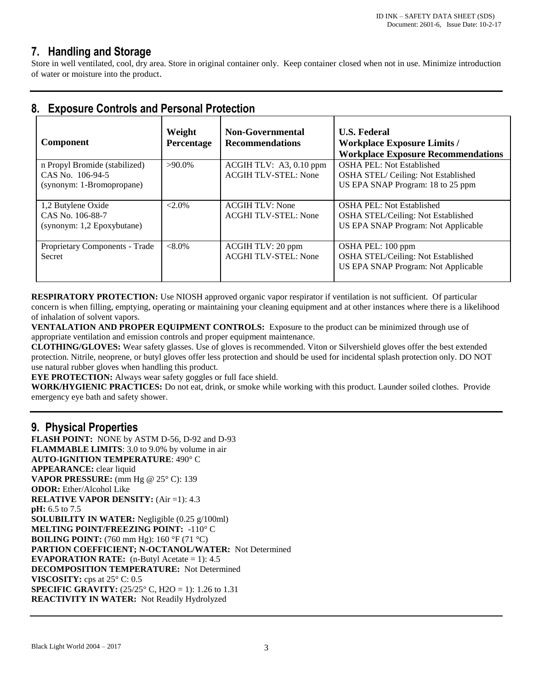# **7. Handling and Storage**

Store in well ventilated, cool, dry area. Store in original container only. Keep container closed when not in use. Minimize introduction of water or moisture into the product.

| <b>Component</b>               | Weight<br>Percentage | <b>Non-Governmental</b><br><b>Recommendations</b> | <b>U.S. Federal</b><br><b>Workplace Exposure Limits /</b><br><b>Workplace Exposure Recommendations</b> |
|--------------------------------|----------------------|---------------------------------------------------|--------------------------------------------------------------------------------------------------------|
| n Propyl Bromide (stabilized)  | $>90.0\%$            | ACGIH TLV: A3, 0.10 ppm                           | <b>OSHA PEL: Not Established</b>                                                                       |
| CAS No. 106-94-5               |                      | <b>ACGIH TLV-STEL: None</b>                       | OSHA STEL/Ceiling: Not Established                                                                     |
| (synonym: 1-Bromopropane)      |                      |                                                   | US EPA SNAP Program: 18 to 25 ppm                                                                      |
| 1,2 Butylene Oxide             | $<2.0\%$             | <b>ACGIH TLV: None</b>                            | OSHA PEL: Not Established                                                                              |
| CAS No. 106-88-7               |                      | <b>ACGHI TLV-STEL: None</b>                       | OSHA STEL/Ceiling: Not Established                                                                     |
| (synonym: 1,2 Epoxybutane)     |                      |                                                   | US EPA SNAP Program: Not Applicable                                                                    |
| Proprietary Components - Trade | $< 8.0\%$            | ACGIH TLV: 20 ppm                                 | OSHA PEL: 100 ppm                                                                                      |
| Secret                         |                      | <b>ACGHI TLV-STEL: None</b>                       | OSHA STEL/Ceiling: Not Established<br>US EPA SNAP Program: Not Applicable                              |

# **8. Exposure Controls and Personal Protection**

**RESPIRATORY PROTECTION:** Use NIOSH approved organic vapor respirator if ventilation is not sufficient. Of particular concern is when filling, emptying, operating or maintaining your cleaning equipment and at other instances where there is a likelihood of inhalation of solvent vapors.

**VENTALATION AND PROPER EQUIPMENT CONTROLS:** Exposure to the product can be minimized through use of appropriate ventilation and emission controls and proper equipment maintenance.

**CLOTHING/GLOVES:** Wear safety glasses. Use of gloves is recommended. Viton or Silvershield gloves offer the best extended protection. Nitrile, neoprene, or butyl gloves offer less protection and should be used for incidental splash protection only. DO NOT use natural rubber gloves when handling this product.

**EYE PROTECTION:** Always wear safety goggles or full face shield.

**WORK/HYGIENIC PRACTICES:** Do not eat, drink, or smoke while working with this product. Launder soiled clothes. Provide emergency eye bath and safety shower.

### **9. Physical Properties**

**FLASH POINT:** NONE by ASTM D-56, D-92 and D-93 **FLAMMABLE LIMITS**: 3.0 to 9.0% by volume in air **AUTO-IGNITION TEMPERATURE**: 490° C **APPEARANCE:** clear liquid **VAPOR PRESSURE:** (mm Hg @ 25° C): 139 **ODOR:** Ether/Alcohol Like **RELATIVE VAPOR DENSITY:** (Air =1): 4.3 **pH:** 6.5 to 7.5 **SOLUBILITY IN WATER:** Negligible (0.25 g/100ml) **MELTING POINT/FREEZING POINT:** -110° C **BOILING POINT:** (760 mm Hg): 160 °F (71 °C) **PARTION COEFFICIENT; N-OCTANOL/WATER:** Not Determined **EVAPORATION RATE:** (n-Butyl Acetate = 1): 4.5 **DECOMPOSITION TEMPERATURE:** Not Determined **VISCOSITY:** cps at 25° C: 0.5 **SPECIFIC GRAVITY:**  $(25/25^{\circ} \text{ C}, \text{H2O} = 1)$ : 1.26 to 1.31 **REACTIVITY IN WATER:** Not Readily Hydrolyzed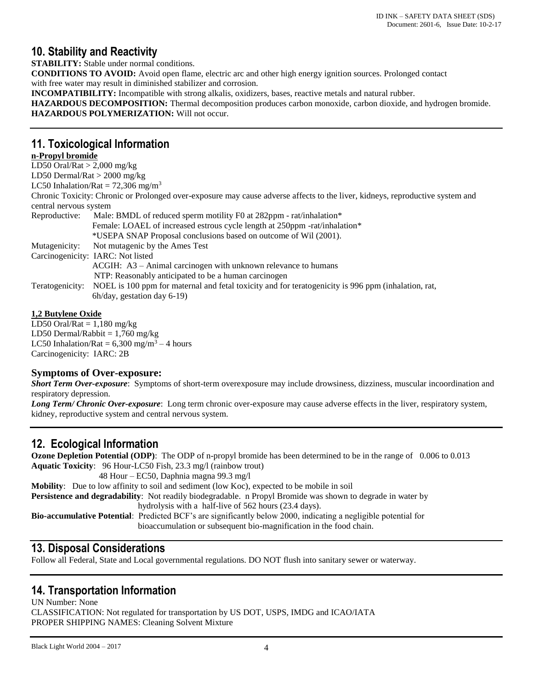# **10. Stability and Reactivity**

**STABILITY:** Stable under normal conditions. **CONDITIONS TO AVOID:** Avoid open flame, electric arc and other high energy ignition sources. Prolonged contact with free water may result in diminished stabilizer and corrosion. **INCOMPATIBILITY:** Incompatible with strong alkalis, oxidizers, bases, reactive metals and natural rubber. **HAZARDOUS DECOMPOSITION:** Thermal decomposition produces carbon monoxide, carbon dioxide, and hydrogen bromide. **HAZARDOUS POLYMERIZATION:** Will not occur.

## **11. Toxicological Information**

#### **n-Propyl bromide**

| LD50 Oral/Rat $>$ 2,000 mg/kg  |                                                                                                                               |
|--------------------------------|-------------------------------------------------------------------------------------------------------------------------------|
| LD50 Dermal/Rat $>$ 2000 mg/kg |                                                                                                                               |
|                                | LC50 Inhalation/Rat = $72,306$ mg/m <sup>3</sup>                                                                              |
|                                | Chronic Toxicity: Chronic or Prolonged over-exposure may cause adverse affects to the liver, kidneys, reproductive system and |
| central nervous system         |                                                                                                                               |
| Reproductive:                  | Male: BMDL of reduced sperm motility F0 at $282$ ppm - rat/inhalation*                                                        |
|                                | Female: LOAEL of increased estrous cycle length at 250ppm -rat/inhalation*                                                    |
|                                | *USEPA SNAP Proposal conclusions based on outcome of Wil (2001).                                                              |
| Mutagenicity:                  | Not mutagenic by the Ames Test                                                                                                |
|                                | Carcinogenicity: IARC: Not listed                                                                                             |
|                                | ACGIH: A3 - Animal carcinogen with unknown relevance to humans                                                                |
|                                | NTP: Reasonably anticipated to be a human carcinogen                                                                          |
|                                | Teratogenicity: NOEL is 100 ppm for maternal and fetal toxicity and for teratogenicity is 996 ppm (inhalation, rat,           |
|                                | 6h/day, gestation day 6-19)                                                                                                   |
|                                |                                                                                                                               |

#### **1,2 Butylene Oxide**

LD50 Oral/Rat  $= 1,180$  mg/kg LD50 Dermal/Rabbit  $= 1,760$  mg/kg LC50 Inhalation/Rat =  $6,300$  mg/m<sup>3</sup> – 4 hours Carcinogenicity: IARC: 2B

#### **Symptoms of Over-exposure:**

*Short Term Over-exposure*: Symptoms of short-term overexposure may include drowsiness, dizziness, muscular incoordination and respiratory depression.

*Long Term/ Chronic Over-exposure*: Long term chronic over-exposure may cause adverse effects in the liver, respiratory system, kidney, reproductive system and central nervous system.

# **12. Ecological Information**

**Ozone Depletion Potential (ODP)**: The ODP of n-propyl bromide has been determined to be in the range of 0.006 to 0.013 **Aquatic Toxicity**: 96 Hour-LC50 Fish, 23.3 mg/l (rainbow trout)

 48 Hour – EC50, Daphnia magna 99.3 mg/l **Mobility**: Due to low affinity to soil and sediment (low Koc), expected to be mobile in soil **Persistence and degradability**: Not readily biodegradable. n Propyl Bromide was shown to degrade in water by hydrolysis with a half-live of 562 hours (23.4 days). **Bio-accumulative Potential**: Predicted BCF's are significantly below 2000, indicating a negligible potential for bioaccumulation or subsequent bio-magnification in the food chain.

# **13. Disposal Considerations**

Follow all Federal, State and Local governmental regulations. DO NOT flush into sanitary sewer or waterway.

# **14. Transportation Information**

UN Number: None CLASSIFICATION: Not regulated for transportation by US DOT, USPS, IMDG and ICAO/IATA PROPER SHIPPING NAMES: Cleaning Solvent Mixture